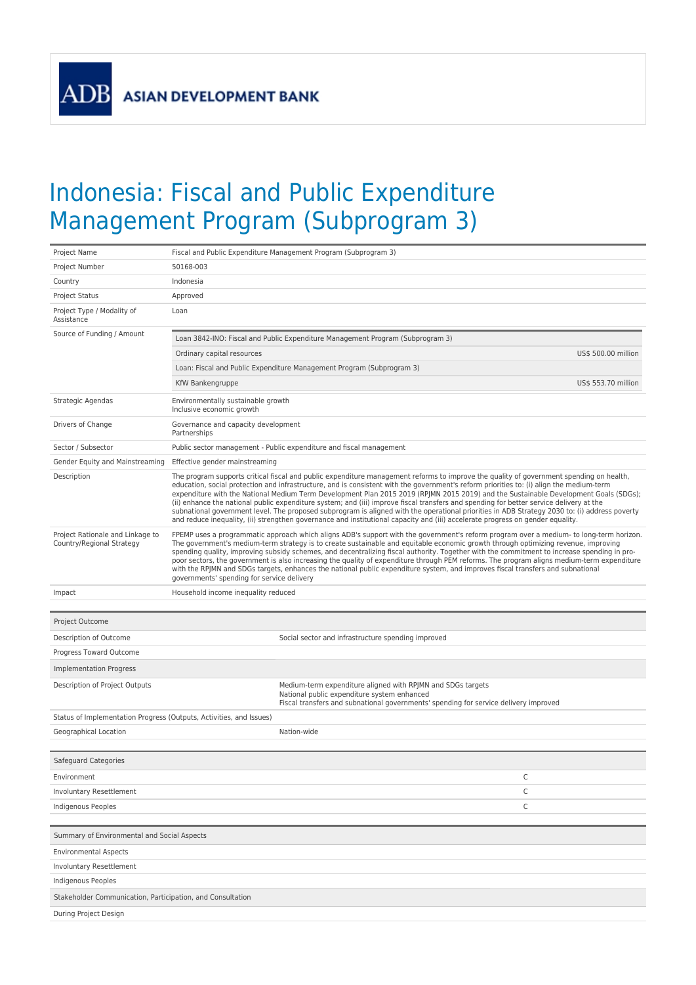**ADB** 

## Indonesia: Fiscal and Public Expenditure Management Program (Subprogram 3)

| Project Name                                                        |                                                                                                                                                                                                                                                                                                                                                                                                                                                                                                                                                                                                                                                                                                                                                                                                                                                           | Fiscal and Public Expenditure Management Program (Subprogram 3)                                            |  |  |  |  |
|---------------------------------------------------------------------|-----------------------------------------------------------------------------------------------------------------------------------------------------------------------------------------------------------------------------------------------------------------------------------------------------------------------------------------------------------------------------------------------------------------------------------------------------------------------------------------------------------------------------------------------------------------------------------------------------------------------------------------------------------------------------------------------------------------------------------------------------------------------------------------------------------------------------------------------------------|------------------------------------------------------------------------------------------------------------|--|--|--|--|
| Project Number                                                      | 50168-003                                                                                                                                                                                                                                                                                                                                                                                                                                                                                                                                                                                                                                                                                                                                                                                                                                                 |                                                                                                            |  |  |  |  |
| Country                                                             | Indonesia                                                                                                                                                                                                                                                                                                                                                                                                                                                                                                                                                                                                                                                                                                                                                                                                                                                 |                                                                                                            |  |  |  |  |
| Project Status                                                      | Approved                                                                                                                                                                                                                                                                                                                                                                                                                                                                                                                                                                                                                                                                                                                                                                                                                                                  |                                                                                                            |  |  |  |  |
| Project Type / Modality of<br>Assistance                            | Loan                                                                                                                                                                                                                                                                                                                                                                                                                                                                                                                                                                                                                                                                                                                                                                                                                                                      |                                                                                                            |  |  |  |  |
| Source of Funding / Amount                                          | Loan 3842-INO: Fiscal and Public Expenditure Management Program (Subprogram 3)                                                                                                                                                                                                                                                                                                                                                                                                                                                                                                                                                                                                                                                                                                                                                                            |                                                                                                            |  |  |  |  |
|                                                                     | Ordinary capital resources                                                                                                                                                                                                                                                                                                                                                                                                                                                                                                                                                                                                                                                                                                                                                                                                                                | US\$ 500.00 million                                                                                        |  |  |  |  |
|                                                                     |                                                                                                                                                                                                                                                                                                                                                                                                                                                                                                                                                                                                                                                                                                                                                                                                                                                           | Loan: Fiscal and Public Expenditure Management Program (Subprogram 3)                                      |  |  |  |  |
|                                                                     | KfW Bankengruppe                                                                                                                                                                                                                                                                                                                                                                                                                                                                                                                                                                                                                                                                                                                                                                                                                                          | US\$ 553.70 million                                                                                        |  |  |  |  |
| Strategic Agendas                                                   | Environmentally sustainable growth<br>Inclusive economic growth                                                                                                                                                                                                                                                                                                                                                                                                                                                                                                                                                                                                                                                                                                                                                                                           |                                                                                                            |  |  |  |  |
| Drivers of Change                                                   | Governance and capacity development<br>Partnerships                                                                                                                                                                                                                                                                                                                                                                                                                                                                                                                                                                                                                                                                                                                                                                                                       |                                                                                                            |  |  |  |  |
| Sector / Subsector                                                  | Public sector management - Public expenditure and fiscal management                                                                                                                                                                                                                                                                                                                                                                                                                                                                                                                                                                                                                                                                                                                                                                                       |                                                                                                            |  |  |  |  |
| Gender Equity and Mainstreaming                                     | Effective gender mainstreaming                                                                                                                                                                                                                                                                                                                                                                                                                                                                                                                                                                                                                                                                                                                                                                                                                            |                                                                                                            |  |  |  |  |
| Description                                                         | The program supports critical fiscal and public expenditure management reforms to improve the quality of government spending on health,<br>education, social protection and infrastructure, and is consistent with the government's reform priorities to: (i) align the medium-term<br>expenditure with the National Medium Term Development Plan 2015 2019 (RPJMN 2015 2019) and the Sustainable Development Goals (SDGs);<br>(ii) enhance the national public expenditure system; and (iii) improve fiscal transfers and spending for better service delivery at the<br>subnational government level. The proposed subprogram is aligned with the operational priorities in ADB Strategy 2030 to: (i) address poverty<br>and reduce inequality, (ii) strengthen governance and institutional capacity and (iii) accelerate progress on gender equality. |                                                                                                            |  |  |  |  |
| Project Rationale and Linkage to<br>Country/Regional Strategy       | FPEMP uses a programmatic approach which aligns ADB's support with the government's reform program over a medium- to long-term horizon.<br>The government's medium-term strategy is to create sustainable and equitable economic growth through optimizing revenue, improving<br>spending quality, improving subsidy schemes, and decentralizing fiscal authority. Together with the commitment to increase spending in pro-<br>poor sectors, the government is also increasing the quality of expenditure through PEM reforms. The program aligns medium-term expenditure<br>with the RPJMN and SDGs targets, enhances the national public expenditure system, and improves fiscal transfers and subnational<br>governments' spending for service delivery                                                                                               |                                                                                                            |  |  |  |  |
| Impact                                                              | Household income inequality reduced                                                                                                                                                                                                                                                                                                                                                                                                                                                                                                                                                                                                                                                                                                                                                                                                                       |                                                                                                            |  |  |  |  |
|                                                                     |                                                                                                                                                                                                                                                                                                                                                                                                                                                                                                                                                                                                                                                                                                                                                                                                                                                           |                                                                                                            |  |  |  |  |
| Project Outcome                                                     |                                                                                                                                                                                                                                                                                                                                                                                                                                                                                                                                                                                                                                                                                                                                                                                                                                                           |                                                                                                            |  |  |  |  |
| Description of Outcome                                              |                                                                                                                                                                                                                                                                                                                                                                                                                                                                                                                                                                                                                                                                                                                                                                                                                                                           | Social sector and infrastructure spending improved                                                         |  |  |  |  |
| Progress Toward Outcome                                             |                                                                                                                                                                                                                                                                                                                                                                                                                                                                                                                                                                                                                                                                                                                                                                                                                                                           |                                                                                                            |  |  |  |  |
| Implementation Progress                                             |                                                                                                                                                                                                                                                                                                                                                                                                                                                                                                                                                                                                                                                                                                                                                                                                                                                           |                                                                                                            |  |  |  |  |
| Description of Project Outputs                                      |                                                                                                                                                                                                                                                                                                                                                                                                                                                                                                                                                                                                                                                                                                                                                                                                                                                           | Medium-term expenditure aligned with RPJMN and SDGs targets<br>National public expenditure system enhanced |  |  |  |  |
|                                                                     |                                                                                                                                                                                                                                                                                                                                                                                                                                                                                                                                                                                                                                                                                                                                                                                                                                                           | Fiscal transfers and subnational governments' spending for service delivery improved                       |  |  |  |  |
| Status of Implementation Progress (Outputs, Activities, and Issues) |                                                                                                                                                                                                                                                                                                                                                                                                                                                                                                                                                                                                                                                                                                                                                                                                                                                           |                                                                                                            |  |  |  |  |
| Geographical Location                                               |                                                                                                                                                                                                                                                                                                                                                                                                                                                                                                                                                                                                                                                                                                                                                                                                                                                           | Nation-wide                                                                                                |  |  |  |  |
| Safeguard Categories                                                |                                                                                                                                                                                                                                                                                                                                                                                                                                                                                                                                                                                                                                                                                                                                                                                                                                                           |                                                                                                            |  |  |  |  |
| Environment                                                         |                                                                                                                                                                                                                                                                                                                                                                                                                                                                                                                                                                                                                                                                                                                                                                                                                                                           | С                                                                                                          |  |  |  |  |
| Involuntary Resettlement                                            |                                                                                                                                                                                                                                                                                                                                                                                                                                                                                                                                                                                                                                                                                                                                                                                                                                                           | С                                                                                                          |  |  |  |  |
| Indigenous Peoples                                                  |                                                                                                                                                                                                                                                                                                                                                                                                                                                                                                                                                                                                                                                                                                                                                                                                                                                           | С                                                                                                          |  |  |  |  |
|                                                                     |                                                                                                                                                                                                                                                                                                                                                                                                                                                                                                                                                                                                                                                                                                                                                                                                                                                           |                                                                                                            |  |  |  |  |
| Summary of Environmental and Social Aspects                         |                                                                                                                                                                                                                                                                                                                                                                                                                                                                                                                                                                                                                                                                                                                                                                                                                                                           |                                                                                                            |  |  |  |  |
| <b>Environmental Aspects</b>                                        |                                                                                                                                                                                                                                                                                                                                                                                                                                                                                                                                                                                                                                                                                                                                                                                                                                                           |                                                                                                            |  |  |  |  |
| Involuntary Resettlement                                            |                                                                                                                                                                                                                                                                                                                                                                                                                                                                                                                                                                                                                                                                                                                                                                                                                                                           |                                                                                                            |  |  |  |  |
| Indigenous Peoples                                                  |                                                                                                                                                                                                                                                                                                                                                                                                                                                                                                                                                                                                                                                                                                                                                                                                                                                           |                                                                                                            |  |  |  |  |
| Stakeholder Communication, Participation, and Consultation          |                                                                                                                                                                                                                                                                                                                                                                                                                                                                                                                                                                                                                                                                                                                                                                                                                                                           |                                                                                                            |  |  |  |  |